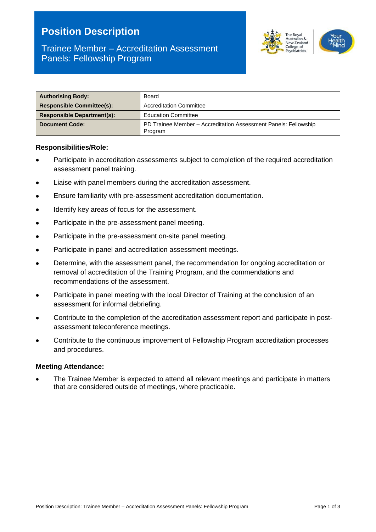# **Position Description**



# Trainee Member – Accreditation Assessment Panels: Fellowship Program

| <b>Authorising Body:</b>          | Board                                                                      |  |
|-----------------------------------|----------------------------------------------------------------------------|--|
| <b>Responsible Committee(s):</b>  | <b>Accreditation Committee</b>                                             |  |
| <b>Responsible Department(s):</b> | <b>Education Committee</b>                                                 |  |
| <b>Document Code:</b>             | PD Trainee Member - Accreditation Assessment Panels: Fellowship<br>Program |  |

#### **Responsibilities/Role:**

- Participate in accreditation assessments subject to completion of the required accreditation assessment panel training.
- Liaise with panel members during the accreditation assessment.
- Ensure familiarity with pre-assessment accreditation documentation.
- Identify key areas of focus for the assessment.
- Participate in the pre-assessment panel meeting.
- Participate in the pre-assessment on-site panel meeting.
- Participate in panel and accreditation assessment meetings.
- Determine, with the assessment panel, the recommendation for ongoing accreditation or removal of accreditation of the Training Program, and the commendations and recommendations of the assessment.
- Participate in panel meeting with the local Director of Training at the conclusion of an assessment for informal debriefing.
- Contribute to the completion of the accreditation assessment report and participate in postassessment teleconference meetings.
- Contribute to the continuous improvement of Fellowship Program accreditation processes and procedures.

#### **Meeting Attendance:**

• The Trainee Member is expected to attend all relevant meetings and participate in matters that are considered outside of meetings, where practicable.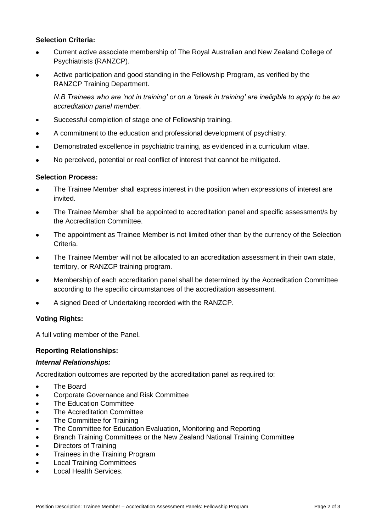## **Selection Criteria:**

- Current active associate membership of The Royal Australian and New Zealand College of Psychiatrists (RANZCP).
- Active participation and good standing in the Fellowship Program, as verified by the RANZCP Training Department.

*N.B Trainees who are 'not in training' or on a 'break in training' are ineligible to apply to be an accreditation panel member.* 

- Successful completion of stage one of Fellowship training.
- A commitment to the education and professional development of psychiatry.
- Demonstrated excellence in psychiatric training, as evidenced in a curriculum vitae.
- No perceived, potential or real conflict of interest that cannot be mitigated.

## **Selection Process:**

- The Trainee Member shall express interest in the position when expressions of interest are invited.
- The Trainee Member shall be appointed to accreditation panel and specific assessment/s by the Accreditation Committee.
- The appointment as Trainee Member is not limited other than by the currency of the Selection Criteria.
- The Trainee Member will not be allocated to an accreditation assessment in their own state, territory, or RANZCP training program.
- Membership of each accreditation panel shall be determined by the Accreditation Committee according to the specific circumstances of the accreditation assessment.
- A signed Deed of Undertaking recorded with the RANZCP.

## **Voting Rights:**

A full voting member of the Panel.

## **Reporting Relationships:**

## *Internal Relationships:*

Accreditation outcomes are reported by the accreditation panel as required to:

- **The Board**
- Corporate Governance and Risk Committee
- The Education Committee
- The Accreditation Committee
- The Committee for Training
- The Committee for Education Evaluation, Monitoring and Reporting
- Branch Training Committees or the New Zealand National Training Committee
- Directors of Training
- Trainees in the Training Program
- Local Training Committees
- Local Health Services.